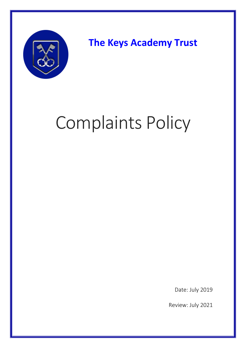

**The Keys Academy Trust**

# Complaints Policy

Date: July 2019

Review: July 2021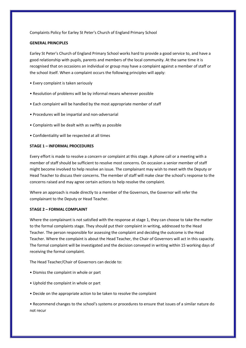Complaints Policy for Earley St Peter's Church of England Primary School

# **GENERAL PRINCIPLES**

Earley St Peter's Church of England Primary School works hard to provide a good service to, and have a good relationship with pupils, parents and members of the local community. At the same time it is recognised that on occasions an individual or group may have a complaint against a member of staff or the school itself. When a complaint occurs the following principles will apply:

- Every complaint is taken seriously
- Resolution of problems will be by informal means wherever possible
- Each complaint will be handled by the most appropriate member of staff
- Procedures will be impartial and non-adversarial
- Complaints will be dealt with as swiftly as possible
- Confidentiality will be respected at all times

# **STAGE 1 – INFORMAL PROCEDURES**

Every effort is made to resolve a concern or complaint at this stage. A phone call or a meeting with a member of staff should be sufficient to resolve most concerns. On occasion a senior member of staff might become involved to help resolve an issue. The complainant may wish to meet with the Deputy or Head Teacher to discuss their concerns. The member of staff will make clear the school's response to the concerns raised and may agree certain actions to help resolve the complaint.

Where an approach is made directly to a member of the Governors, the Governor will refer the complainant to the Deputy or Head Teacher.

## **STAGE 2 – FORMAL COMPLAINT**

Where the complainant is not satisfied with the response at stage 1, they can choose to take the matter to the formal complaints stage. They should put their complaint in writing, addressed to the Head Teacher. The person responsible for assessing the complaint and deciding the outcome is the Head Teacher. Where the complaint is about the Head Teacher, the Chair of Governors will act in this capacity. The formal complaint will be investigated and the decision conveyed in writing within 15 working days of receiving the formal complaint.

The Head Teacher/Chair of Governors can decide to:

- Dismiss the complaint in whole or part
- Uphold the complaint in whole or part
- Decide on the appropriate action to be taken to resolve the complaint

• Recommend changes to the school's systems or procedures to ensure that issues of a similar nature do not recur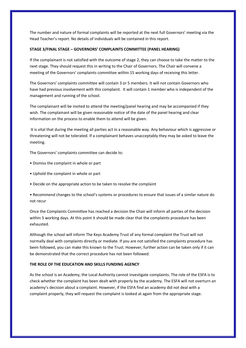The number and nature of formal complaints will be reported at the next full Governors' meeting via the Head Teacher's report. No details of individuals will be contained in this report.

### **STAGE 3/FINAL STAGE – GOVERNORS' COMPLAINTS COMMITTEE (PANEL HEARING)**

If the complainant is not satisfied with the outcome of stage 2, they can choose to take the matter to the next stage. They should request this in writing to the Chair of Governors. The Chair will convene a meeting of the Governors' complaints committee within 15 working days of receiving this letter.

The Governors' complaints committee will contain 3 or 5 members. It will not contain Governors who have had previous involvement with this complaint. It will contain 1 member who is independent of the management and running of the school.

The complainant will be invited to attend the meeting/panel hearing and may be accompanied if they wish. The complainant will be given reasonable notice of the date of the panel hearing and clear information on the process to enable them to attend will be given.

It is vital that during the meeting all parties act in a reasonable way. Any behaviour which is aggressive or threatening will not be tolerated. If a complainant behaves unacceptably they may be asked to leave the meeting.

The Governors' complaints committee can decide to:

- Dismiss the complaint in whole or part
- Uphold the complaint in whole or part
- Decide on the appropriate action to be taken to resolve the complaint

• Recommend changes to the school's systems or procedures to ensure that issues of a similar nature do not recur

Once the Complaints Committee has reached a decision the Chair will inform all parties of the decision within 5 working days. At this point it should be made clear that the complaints procedure has been exhausted.

Although the school will inform The Keys Academy Trust of any formal complaint the Trust will not normally deal with complaints directly or mediate. If you are not satisfied the complaints procedure has been followed, you can make this known to the Trust. However, further action can be taken only if it can be demonstrated that the correct procedure has not been followed.

## **THE ROLE OF THE EDUCATION AND SKILLS FUNDING AGENCY**

As the school is an Academy, the Local Authority cannot investigate complaints. The role of the ESFA is to check whether the complaint has been dealt with properly by the academy. The ESFA will not overturn an academy's decision about a complaint. However, if the ESFA find an academy did not deal with a complaint properly, they will request the complaint is looked at again from the appropriate stage.